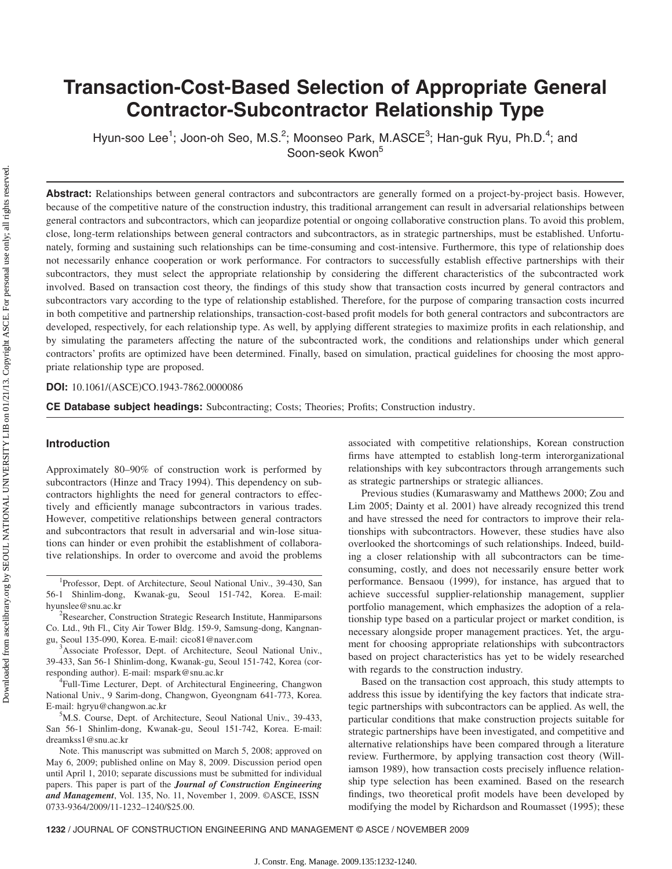# **Transaction-Cost-Based Selection of Appropriate General Contractor-Subcontractor Relationship Type**

Hyun-soo Lee<sup>1</sup>; Joon-oh Seo, M.S.<sup>2</sup>; Moonseo Park, M.ASCE<sup>3</sup>; Han-guk Ryu, Ph.D.<sup>4</sup>; and Soon-seok Kwon<sup>5</sup>

**Abstract:** Relationships between general contractors and subcontractors are generally formed on a project-by-project basis. However, because of the competitive nature of the construction industry, this traditional arrangement can result in adversarial relationships between general contractors and subcontractors, which can jeopardize potential or ongoing collaborative construction plans. To avoid this problem, close, long-term relationships between general contractors and subcontractors, as in strategic partnerships, must be established. Unfortunately, forming and sustaining such relationships can be time-consuming and cost-intensive. Furthermore, this type of relationship does not necessarily enhance cooperation or work performance. For contractors to successfully establish effective partnerships with their subcontractors, they must select the appropriate relationship by considering the different characteristics of the subcontracted work involved. Based on transaction cost theory, the findings of this study show that transaction costs incurred by general contractors and subcontractors vary according to the type of relationship established. Therefore, for the purpose of comparing transaction costs incurred in both competitive and partnership relationships, transaction-cost-based profit models for both general contractors and subcontractors are developed, respectively, for each relationship type. As well, by applying different strategies to maximize profits in each relationship, and by simulating the parameters affecting the nature of the subcontracted work, the conditions and relationships under which general contractors' profits are optimized have been determined. Finally, based on simulation, practical guidelines for choosing the most appropriate relationship type are proposed.

**DOI:** 10.1061/(ASCE)CO.1943-7862.0000086

**CE Database subject headings:** Subcontracting; Costs; Theories; Profits; Construction industry.

# **Introduction**

Approximately 80–90% of construction work is performed by subcontractors (Hinze and Tracy 1994). This dependency on subcontractors highlights the need for general contractors to effectively and efficiently manage subcontractors in various trades. However, competitive relationships between general contractors and subcontractors that result in adversarial and win-lose situations can hinder or even prohibit the establishment of collaborative relationships. In order to overcome and avoid the problems

<sup>2</sup>Researcher, Construction Strategic Research Institute, Hanmiparsons Co. Ltd., 9th Fl., City Air Tower Bldg. 159-9, Samsung-dong, Kangnangu, Seoul 135-090, Korea. E-mail: cico81@naver.com <sup>3</sup>

<sup>3</sup>Associate Professor, Dept. of Architecture, Seoul National Univ., 39-433, San 56-1 Shinlim-dong, Kwanak-gu, Seoul 151-742, Korea corresponding author). E-mail: mspark@snu.ac.kr<br> $^{4}$ Eull Time Lecturer, Dopt, of Architecture

<sup>4</sup>Full-Time Lecturer, Dept. of Architectural Engineering, Changwon National Univ., 9 Sarim-dong, Changwon, Gyeongnam 641-773, Korea. E-mail: hgryu@changwon.ac.kr <sup>5</sup>

M.S. Course, Dept. of Architecture, Seoul National Univ., 39-433, San 56-1 Shinlim-dong, Kwanak-gu, Seoul 151-742, Korea. E-mail: dreamkss1@snu.ac.kr

Note. This manuscript was submitted on March 5, 2008; approved on May 6, 2009; published online on May 8, 2009. Discussion period open until April 1, 2010; separate discussions must be submitted for individual papers. This paper is part of the *Journal of Construction Engineering and Management*, Vol. 135, No. 11, November 1, 2009. ©ASCE, ISSN 0733-9364/2009/11-1232–1240/\$25.00.

associated with competitive relationships, Korean construction firms have attempted to establish long-term interorganizational relationships with key subcontractors through arrangements such as strategic partnerships or strategic alliances.

Previous studies (Kumaraswamy and Matthews 2000; Zou and Lim 2005; Dainty et al. 2001) have already recognized this trend and have stressed the need for contractors to improve their relationships with subcontractors. However, these studies have also overlooked the shortcomings of such relationships. Indeed, building a closer relationship with all subcontractors can be timeconsuming, costly, and does not necessarily ensure better work performance. Bensaou (1999), for instance, has argued that to achieve successful supplier-relationship management, supplier portfolio management, which emphasizes the adoption of a relationship type based on a particular project or market condition, is necessary alongside proper management practices. Yet, the argument for choosing appropriate relationships with subcontractors based on project characteristics has yet to be widely researched with regards to the construction industry.

Based on the transaction cost approach, this study attempts to address this issue by identifying the key factors that indicate strategic partnerships with subcontractors can be applied. As well, the particular conditions that make construction projects suitable for strategic partnerships have been investigated, and competitive and alternative relationships have been compared through a literature review. Furthermore, by applying transaction cost theory Williamson 1989), how transaction costs precisely influence relationship type selection has been examined. Based on the research findings, two theoretical profit models have been developed by modifying the model by Richardson and Roumasset (1995); these

**1232** / JOURNAL OF CONSTRUCTION ENGINEERING AND MANAGEMENT © ASCE / NOVEMBER 2009

<sup>&</sup>lt;sup>1</sup>Professor, Dept. of Architecture, Seoul National Univ., 39-430, San 56-1 Shinlim-dong, Kwanak-gu, Seoul 151-742, Korea. E-mail: hyunslee@snu.ac.kr <sup>2</sup>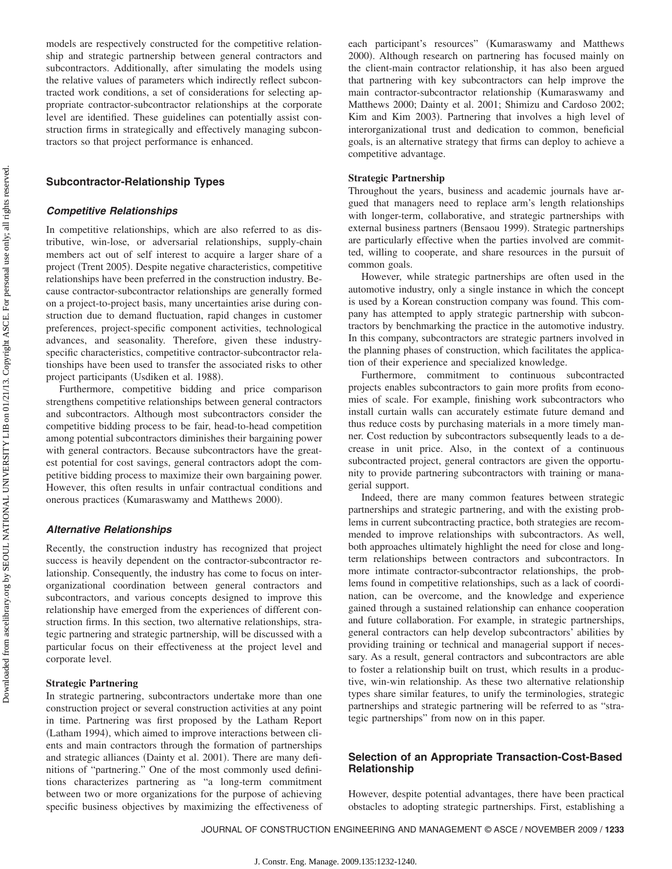models are respectively constructed for the competitive relationship and strategic partnership between general contractors and subcontractors. Additionally, after simulating the models using the relative values of parameters which indirectly reflect subcontracted work conditions, a set of considerations for selecting appropriate contractor-subcontractor relationships at the corporate level are identified. These guidelines can potentially assist construction firms in strategically and effectively managing subcontractors so that project performance is enhanced.

# **Subcontractor-Relationship Types**

# *Competitive Relationships*

In competitive relationships, which are also referred to as distributive, win-lose, or adversarial relationships, supply-chain members act out of self interest to acquire a larger share of a project (Trent 2005). Despite negative characteristics, competitive relationships have been preferred in the construction industry. Because contractor-subcontractor relationships are generally formed on a project-to-project basis, many uncertainties arise during construction due to demand fluctuation, rapid changes in customer preferences, project-specific component activities, technological advances, and seasonality. Therefore, given these industryspecific characteristics, competitive contractor-subcontractor relationships have been used to transfer the associated risks to other project participants (Usdiken et al. 1988).

Furthermore, competitive bidding and price comparison strengthens competitive relationships between general contractors and subcontractors. Although most subcontractors consider the competitive bidding process to be fair, head-to-head competition among potential subcontractors diminishes their bargaining power with general contractors. Because subcontractors have the greatest potential for cost savings, general contractors adopt the competitive bidding process to maximize their own bargaining power. However, this often results in unfair contractual conditions and onerous practices (Kumaraswamy and Matthews 2000).

# *Alternative Relationships*

Recently, the construction industry has recognized that project success is heavily dependent on the contractor-subcontractor relationship. Consequently, the industry has come to focus on interorganizational coordination between general contractors and subcontractors, and various concepts designed to improve this relationship have emerged from the experiences of different construction firms. In this section, two alternative relationships, strategic partnering and strategic partnership, will be discussed with a particular focus on their effectiveness at the project level and corporate level.

# **Strategic Partnering**

In strategic partnering, subcontractors undertake more than one construction project or several construction activities at any point in time. Partnering was first proposed by the Latham Report (Latham 1994), which aimed to improve interactions between clients and main contractors through the formation of partnerships and strategic alliances (Dainty et al. 2001). There are many definitions of "partnering." One of the most commonly used definitions characterizes partnering as "a long-term commitment between two or more organizations for the purpose of achieving specific business objectives by maximizing the effectiveness of each participant's resources" (Kumaraswamy and Matthews 2000). Although research on partnering has focused mainly on the client-main contractor relationship, it has also been argued that partnering with key subcontractors can help improve the main contractor-subcontractor relationship (Kumaraswamy and Matthews 2000; Dainty et al. 2001; Shimizu and Cardoso 2002; Kim and Kim 2003). Partnering that involves a high level of interorganizational trust and dedication to common, beneficial goals, is an alternative strategy that firms can deploy to achieve a competitive advantage.

#### **Strategic Partnership**

Throughout the years, business and academic journals have argued that managers need to replace arm's length relationships with longer-term, collaborative, and strategic partnerships with external business partners (Bensaou 1999). Strategic partnerships are particularly effective when the parties involved are committed, willing to cooperate, and share resources in the pursuit of common goals.

However, while strategic partnerships are often used in the automotive industry, only a single instance in which the concept is used by a Korean construction company was found. This company has attempted to apply strategic partnership with subcontractors by benchmarking the practice in the automotive industry. In this company, subcontractors are strategic partners involved in the planning phases of construction, which facilitates the application of their experience and specialized knowledge.

Furthermore, commitment to continuous subcontracted projects enables subcontractors to gain more profits from economies of scale. For example, finishing work subcontractors who install curtain walls can accurately estimate future demand and thus reduce costs by purchasing materials in a more timely manner. Cost reduction by subcontractors subsequently leads to a decrease in unit price. Also, in the context of a continuous subcontracted project, general contractors are given the opportunity to provide partnering subcontractors with training or managerial support.

Indeed, there are many common features between strategic partnerships and strategic partnering, and with the existing problems in current subcontracting practice, both strategies are recommended to improve relationships with subcontractors. As well, both approaches ultimately highlight the need for close and longterm relationships between contractors and subcontractors. In more intimate contractor-subcontractor relationships, the problems found in competitive relationships, such as a lack of coordination, can be overcome, and the knowledge and experience gained through a sustained relationship can enhance cooperation and future collaboration. For example, in strategic partnerships, general contractors can help develop subcontractors' abilities by providing training or technical and managerial support if necessary. As a result, general contractors and subcontractors are able to foster a relationship built on trust, which results in a productive, win-win relationship. As these two alternative relationship types share similar features, to unify the terminologies, strategic partnerships and strategic partnering will be referred to as "strategic partnerships" from now on in this paper.

# **Selection of an Appropriate Transaction-Cost-Based Relationship**

However, despite potential advantages, there have been practical obstacles to adopting strategic partnerships. First, establishing a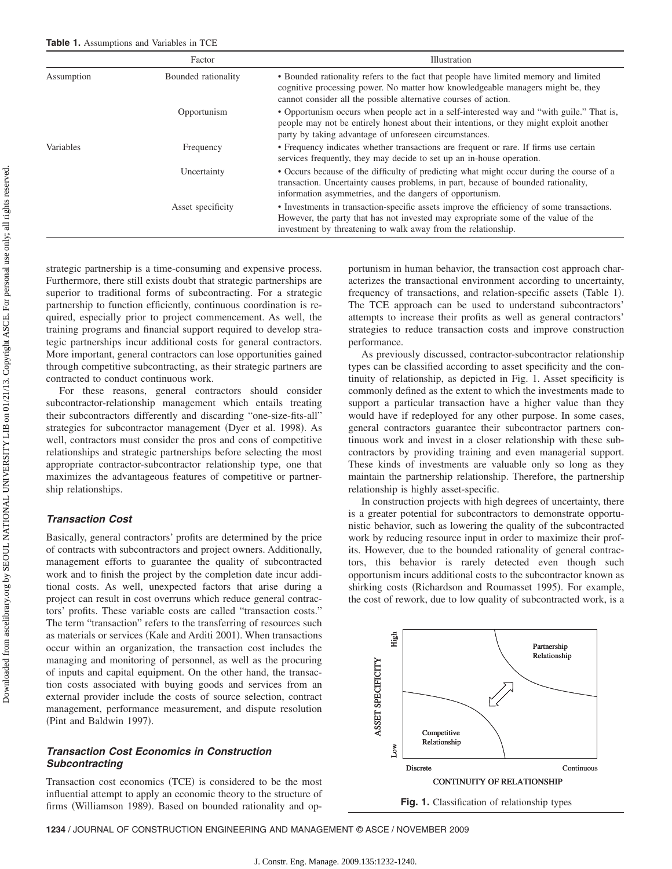|                  | Factor              | <b>Illustration</b>                                                                                                                                                                                                                             |  |
|------------------|---------------------|-------------------------------------------------------------------------------------------------------------------------------------------------------------------------------------------------------------------------------------------------|--|
| Assumption       | Bounded rationality | • Bounded rationality refers to the fact that people have limited memory and limited<br>cognitive processing power. No matter how knowledgeable managers might be, they<br>cannot consider all the possible alternative courses of action.      |  |
|                  | Opportunism         | • Opportunism occurs when people act in a self-interested way and "with guile." That is,<br>people may not be entirely honest about their intentions, or they might exploit another<br>party by taking advantage of unforeseen circumstances.   |  |
| <b>Variables</b> | Frequency           | • Frequency indicates whether transactions are frequent or rare. If firms use certain<br>services frequently, they may decide to set up an in-house operation.                                                                                  |  |
|                  | Uncertainty         | • Occurs because of the difficulty of predicting what might occur during the course of a<br>transaction. Uncertainty causes problems, in part, because of bounded rationality,<br>information asymmetries, and the dangers of opportunism.      |  |
|                  | Asset specificity   | • Investments in transaction-specific assets improve the efficiency of some transactions.<br>However, the party that has not invested may expropriate some of the value of the<br>investment by threatening to walk away from the relationship. |  |

strategic partnership is a time-consuming and expensive process. Furthermore, there still exists doubt that strategic partnerships are superior to traditional forms of subcontracting. For a strategic partnership to function efficiently, continuous coordination is required, especially prior to project commencement. As well, the training programs and financial support required to develop strategic partnerships incur additional costs for general contractors. More important, general contractors can lose opportunities gained through competitive subcontracting, as their strategic partners are contracted to conduct continuous work.

For these reasons, general contractors should consider subcontractor-relationship management which entails treating their subcontractors differently and discarding "one-size-fits-all" strategies for subcontractor management (Dyer et al. 1998). As well, contractors must consider the pros and cons of competitive relationships and strategic partnerships before selecting the most appropriate contractor-subcontractor relationship type, one that maximizes the advantageous features of competitive or partnership relationships.

# *Transaction Cost*

Basically, general contractors' profits are determined by the price of contracts with subcontractors and project owners. Additionally, management efforts to guarantee the quality of subcontracted work and to finish the project by the completion date incur additional costs. As well, unexpected factors that arise during a project can result in cost overruns which reduce general contractors' profits. These variable costs are called "transaction costs." The term "transaction" refers to the transferring of resources such as materials or services (Kale and Arditi 2001). When transactions occur within an organization, the transaction cost includes the managing and monitoring of personnel, as well as the procuring of inputs and capital equipment. On the other hand, the transaction costs associated with buying goods and services from an external provider include the costs of source selection, contract management, performance measurement, and dispute resolution (Pint and Baldwin 1997).

# *Transaction Cost Economics in Construction Subcontracting*

Transaction cost economics (TCE) is considered to be the most influential attempt to apply an economic theory to the structure of firms (Williamson 1989). Based on bounded rationality and opportunism in human behavior, the transaction cost approach characterizes the transactional environment according to uncertainty, frequency of transactions, and relation-specific assets (Table 1). The TCE approach can be used to understand subcontractors' attempts to increase their profits as well as general contractors' strategies to reduce transaction costs and improve construction performance.

As previously discussed, contractor-subcontractor relationship types can be classified according to asset specificity and the continuity of relationship, as depicted in Fig. 1. Asset specificity is commonly defined as the extent to which the investments made to support a particular transaction have a higher value than they would have if redeployed for any other purpose. In some cases, general contractors guarantee their subcontractor partners continuous work and invest in a closer relationship with these subcontractors by providing training and even managerial support. These kinds of investments are valuable only so long as they maintain the partnership relationship. Therefore, the partnership relationship is highly asset-specific.

In construction projects with high degrees of uncertainty, there is a greater potential for subcontractors to demonstrate opportunistic behavior, such as lowering the quality of the subcontracted work by reducing resource input in order to maximize their profits. However, due to the bounded rationality of general contractors, this behavior is rarely detected even though such opportunism incurs additional costs to the subcontractor known as shirking costs (Richardson and Roumasset 1995). For example, the cost of rework, due to low quality of subcontracted work, is a



**Fig. 1.** Classification of relationship types

**1234** / JOURNAL OF CONSTRUCTION ENGINEERING AND MANAGEMENT © ASCE / NOVEMBER 2009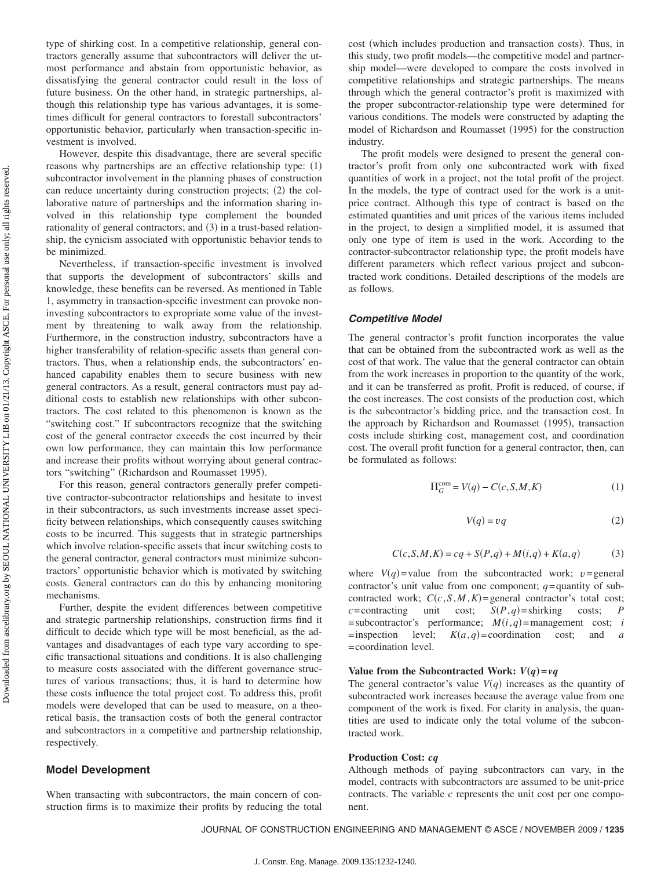type of shirking cost. In a competitive relationship, general contractors generally assume that subcontractors will deliver the utmost performance and abstain from opportunistic behavior, as dissatisfying the general contractor could result in the loss of future business. On the other hand, in strategic partnerships, although this relationship type has various advantages, it is sometimes difficult for general contractors to forestall subcontractors' opportunistic behavior, particularly when transaction-specific investment is involved.

However, despite this disadvantage, there are several specific reasons why partnerships are an effective relationship type: (1) subcontractor involvement in the planning phases of construction can reduce uncertainty during construction projects; (2) the collaborative nature of partnerships and the information sharing involved in this relationship type complement the bounded rationality of general contractors; and (3) in a trust-based relationship, the cynicism associated with opportunistic behavior tends to be minimized.

Nevertheless, if transaction-specific investment is involved that supports the development of subcontractors' skills and knowledge, these benefits can be reversed. As mentioned in Table 1, asymmetry in transaction-specific investment can provoke noninvesting subcontractors to expropriate some value of the investment by threatening to walk away from the relationship. Furthermore, in the construction industry, subcontractors have a higher transferability of relation-specific assets than general contractors. Thus, when a relationship ends, the subcontractors' enhanced capability enables them to secure business with new general contractors. As a result, general contractors must pay additional costs to establish new relationships with other subcontractors. The cost related to this phenomenon is known as the "switching cost." If subcontractors recognize that the switching cost of the general contractor exceeds the cost incurred by their own low performance, they can maintain this low performance and increase their profits without worrying about general contractors "switching" (Richardson and Roumasset 1995).

For this reason, general contractors generally prefer competitive contractor-subcontractor relationships and hesitate to invest in their subcontractors, as such investments increase asset specificity between relationships, which consequently causes switching costs to be incurred. This suggests that in strategic partnerships which involve relation-specific assets that incur switching costs to the general contractor, general contractors must minimize subcontractors' opportunistic behavior which is motivated by switching costs. General contractors can do this by enhancing monitoring mechanisms.

Further, despite the evident differences between competitive and strategic partnership relationships, construction firms find it difficult to decide which type will be most beneficial, as the advantages and disadvantages of each type vary according to specific transactional situations and conditions. It is also challenging to measure costs associated with the different governance structures of various transactions; thus, it is hard to determine how these costs influence the total project cost. To address this, profit models were developed that can be used to measure, on a theoretical basis, the transaction costs of both the general contractor and subcontractors in a competitive and partnership relationship, respectively.

# **Model Development**

When transacting with subcontractors, the main concern of construction firms is to maximize their profits by reducing the total

cost (which includes production and transaction costs). Thus, in this study, two profit models—the competitive model and partnership model—were developed to compare the costs involved in competitive relationships and strategic partnerships. The means through which the general contractor's profit is maximized with the proper subcontractor-relationship type were determined for various conditions. The models were constructed by adapting the model of Richardson and Roumasset (1995) for the construction industry.

The profit models were designed to present the general contractor's profit from only one subcontracted work with fixed quantities of work in a project, not the total profit of the project. In the models, the type of contract used for the work is a unitprice contract. Although this type of contract is based on the estimated quantities and unit prices of the various items included in the project, to design a simplified model, it is assumed that only one type of item is used in the work. According to the contractor-subcontractor relationship type, the profit models have different parameters which reflect various project and subcontracted work conditions. Detailed descriptions of the models are as follows.

# *Competitive Model*

The general contractor's profit function incorporates the value that can be obtained from the subcontracted work as well as the cost of that work. The value that the general contractor can obtain from the work increases in proportion to the quantity of the work, and it can be transferred as profit. Profit is reduced, of course, if the cost increases. The cost consists of the production cost, which is the subcontractor's bidding price, and the transaction cost. In the approach by Richardson and Roumasset (1995), transaction costs include shirking cost, management cost, and coordination cost. The overall profit function for a general contractor, then, can be formulated as follows:

$$
\Pi_G^{\text{com}} = V(q) - C(c, S, M, K)
$$
 (1)

$$
V(q) = vq \tag{2}
$$

$$
C(c, S, M, K) = cq + S(P, q) + M(i, q) + K(a, q)
$$
 (3)

where  $V(q)$  = value from the subcontracted work;  $v =$  general contractor's unit value from one component; *q*= quantity of subcontracted work;  $C(c, S, M, K)$  = general contractor's total cost;  $c$ =contracting unit cost;  $S(P,q)$ =shirking costs; *P*  $=$ subcontractor's performance;  $M(i,q)$  = management cost; *i*  $=$ inspection level;  $K(a,q)$ =coordination cost; and *a* =coordination level.

#### **Value from the Subcontracted Work:**  $V(q) = vq$

The general contractor's value  $V(q)$  increases as the quantity of subcontracted work increases because the average value from one component of the work is fixed. For clarity in analysis, the quantities are used to indicate only the total volume of the subcontracted work.

#### **Production Cost:** *cq*

Although methods of paying subcontractors can vary, in the model, contracts with subcontractors are assumed to be unit-price contracts. The variable *c* represents the unit cost per one component.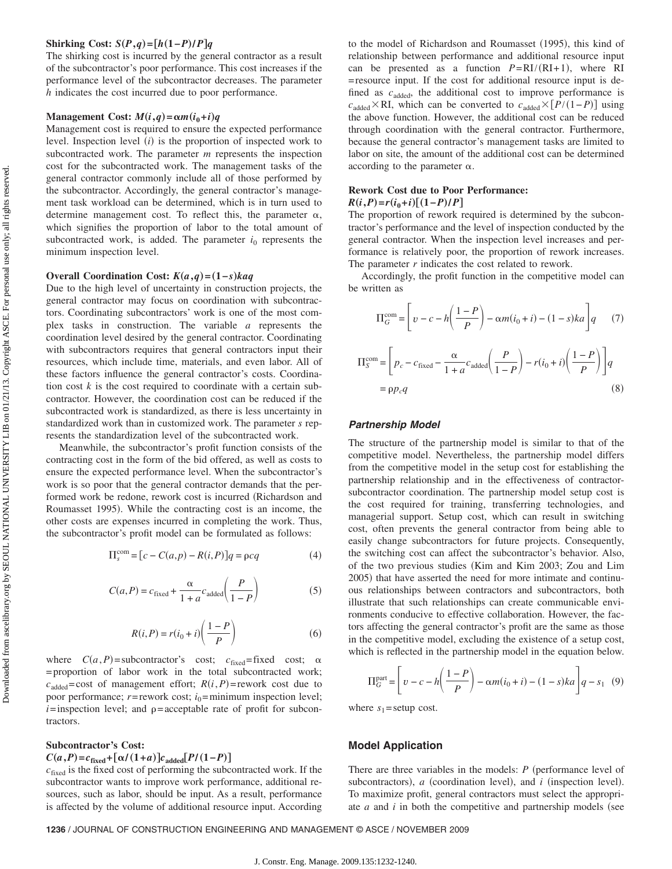# $\text{Shirking Cost: } S(P,q) = [h(1-P)/P]q$

The shirking cost is incurred by the general contractor as a result of the subcontractor's poor performance. This cost increases if the performance level of the subcontractor decreases. The parameter *h* indicates the cost incurred due to poor performance.

# **Management Cost:**  $M(i,q) = \alpha m(i_0+i)q$

Management cost is required to ensure the expected performance level. Inspection level  $(i)$  is the proportion of inspected work to subcontracted work. The parameter *m* represents the inspection cost for the subcontracted work. The management tasks of the general contractor commonly include all of those performed by the subcontractor. Accordingly, the general contractor's management task workload can be determined, which is in turn used to determine management cost. To reflect this, the parameter  $\alpha$ , which signifies the proportion of labor to the total amount of subcontracted work, is added. The parameter  $i_0$  represents the minimum inspection level.

#### **Overall Coordination Cost:**  $K(a,q) = (1-s)kaq$

Due to the high level of uncertainty in construction projects, the general contractor may focus on coordination with subcontractors. Coordinating subcontractors' work is one of the most complex tasks in construction. The variable *a* represents the coordination level desired by the general contractor. Coordinating with subcontractors requires that general contractors input their resources, which include time, materials, and even labor. All of these factors influence the general contractor's costs. Coordination cost *k* is the cost required to coordinate with a certain subcontractor. However, the coordination cost can be reduced if the subcontracted work is standardized, as there is less uncertainty in standardized work than in customized work. The parameter *s* represents the standardization level of the subcontracted work.

Meanwhile, the subcontractor's profit function consists of the contracting cost in the form of the bid offered, as well as costs to ensure the expected performance level. When the subcontractor's work is so poor that the general contractor demands that the performed work be redone, rework cost is incurred (Richardson and Roumasset 1995). While the contracting cost is an income, the other costs are expenses incurred in completing the work. Thus, the subcontractor's profit model can be formulated as follows:

$$
\Pi_s^{\text{com}} = [c - C(a, p) - R(i, P)]q = \rho c q \tag{4}
$$

$$
C(a, P) = c_{\text{fixed}} + \frac{\alpha}{1 + a} c_{\text{added}} \left( \frac{P}{1 - P} \right)
$$
 (5)

$$
R(i, P) = r(i_0 + i) \left(\frac{1 - P}{P}\right)
$$
\n<sup>(6)</sup>

where  $C(a, P)$  = subcontractor's cost;  $c_{\text{fixed}}$  = fixed cost;  $\alpha$ = proportion of labor work in the total subcontracted work;  $c_{\text{added}} = \text{cost of management effort}$ ;  $R(i, P) = \text{reward cost due to}$ poor performance;  $r$ = rework cost;  $i_0$ = minimum inspection level;  $i$ =inspection level; and  $\rho$ =acceptable rate of profit for subcontractors.

#### **Subcontractor's Cost:**

# $C(a, P) = c_{\text{fixed}} + [\alpha/(1+a)]c_{\text{added}}[P/(1-P)]$

*c*fixed is the fixed cost of performing the subcontracted work. If the subcontractor wants to improve work performance, additional resources, such as labor, should be input. As a result, performance is affected by the volume of additional resource input. According

to the model of Richardson and Roumasset (1995), this kind of relationship between performance and additional resource input can be presented as a function  $P = R I/(R I + 1)$ , where RI = resource input. If the cost for additional resource input is defined as  $c_{\text{added}}$ , the additional cost to improve performance is  $c_{\text{added}} \times \text{RI}$ , which can be converted to  $c_{\text{added}} \times [P/(1-P)]$  using the above function. However, the additional cost can be reduced through coordination with the general contractor. Furthermore, because the general contractor's management tasks are limited to labor on site, the amount of the additional cost can be determined according to the parameter  $\alpha$ .

#### **Rework Cost due to Poor Performance:**  $R(i, P) = r(i_0 + i) [(1 - P)/P]$

The proportion of rework required is determined by the subcontractor's performance and the level of inspection conducted by the general contractor. When the inspection level increases and performance is relatively poor, the proportion of rework increases. The parameter  $r$  indicates the cost related to rework.

Accordingly, the profit function in the competitive model can be written as

$$
\Pi_G^{\text{com}} = \left[ v - c - h \left( \frac{1 - P}{P} \right) - \alpha m (i_0 + i) - (1 - s) k a \right] q \qquad (7)
$$
  

$$
\Pi_S^{\text{com}} = \left[ p_c - c_{\text{fixed}} - \frac{\alpha}{1 + a} c_{\text{added}} \left( \frac{P}{1 - P} \right) - r (i_0 + i) \left( \frac{1 - P}{P} \right) \right] q
$$
  

$$
= \rho p_c q \qquad (8)
$$

#### *Partnership Model*

The structure of the partnership model is similar to that of the competitive model. Nevertheless, the partnership model differs from the competitive model in the setup cost for establishing the partnership relationship and in the effectiveness of contractorsubcontractor coordination. The partnership model setup cost is the cost required for training, transferring technologies, and managerial support. Setup cost, which can result in switching cost, often prevents the general contractor from being able to easily change subcontractors for future projects. Consequently, the switching cost can affect the subcontractor's behavior. Also, of the two previous studies (Kim and Kim 2003; Zou and Lim 2005) that have asserted the need for more intimate and continuous relationships between contractors and subcontractors, both illustrate that such relationships can create communicable environments conducive to effective collaboration. However, the factors affecting the general contractor's profit are the same as those in the competitive model, excluding the existence of a setup cost, which is reflected in the partnership model in the equation below.

$$
\Pi_G^{\text{part}} = \left[ v - c - h \left( \frac{1 - P}{P} \right) - \alpha m (i_0 + i) - (1 - s) k a \right] q - s_1 \tag{9}
$$

where  $s_1$ = setup cost.

# **Model Application**

There are three variables in the models:  $P$  (performance level of subcontractors),  $a$  (coordination level), and  $i$  (inspection level). To maximize profit, general contractors must select the appropriate  $a$  and  $i$  in both the competitive and partnership models (see

**1236** / JOURNAL OF CONSTRUCTION ENGINEERING AND MANAGEMENT © ASCE / NOVEMBER 2009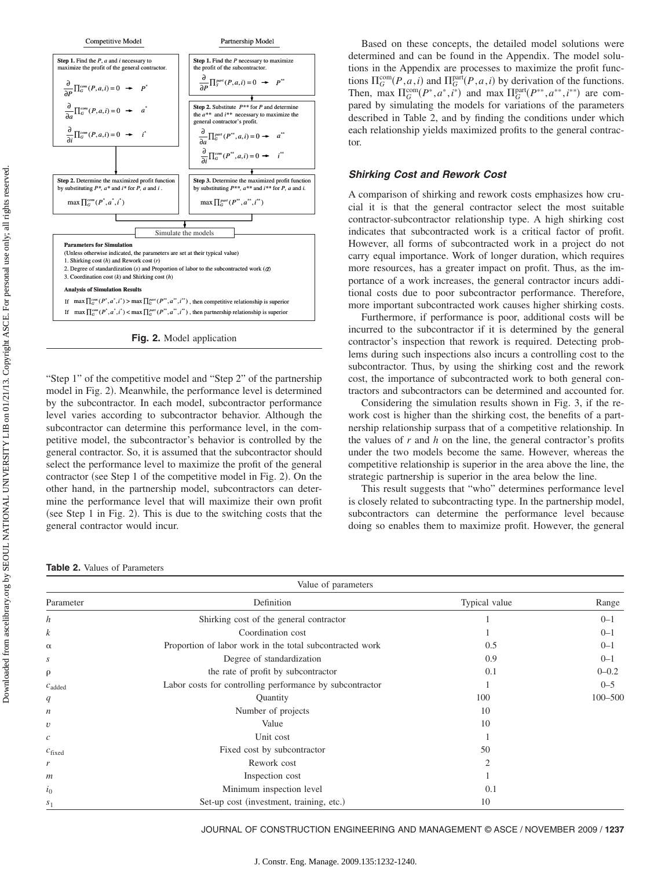

**Fig. 2.** Model application

"Step 1" of the competitive model and "Step 2" of the partnership model in Fig. 2). Meanwhile, the performance level is determined by the subcontractor. In each model, subcontractor performance level varies according to subcontractor behavior. Although the subcontractor can determine this performance level, in the competitive model, the subcontractor's behavior is controlled by the general contractor. So, it is assumed that the subcontractor should select the performance level to maximize the profit of the general contractor (see Step 1 of the competitive model in Fig. 2). On the other hand, in the partnership model, subcontractors can determine the performance level that will maximize their own profit (see Step 1 in Fig. 2). This is due to the switching costs that the general contractor would incur.

Based on these concepts, the detailed model solutions were determined and can be found in the Appendix. The model solutions in the Appendix are processes to maximize the profit functions  $\Pi_G^{\text{com}}(P, a, i)$  and  $\Pi_G^{\text{part}}(P, a, i)$  by derivation of the functions. Then, max  $\Pi_G^{\text{com}}(P^*, a^*, i^*)$  and max  $\Pi_G^{\text{part}}(P^{**}, a^{**}, i^{**})$  are compared by simulating the models for variations of the parameters described in Table 2, and by finding the conditions under which each relationship yields maximized profits to the general contractor.

# *Shirking Cost and Rework Cost*

A comparison of shirking and rework costs emphasizes how crucial it is that the general contractor select the most suitable contractor-subcontractor relationship type. A high shirking cost indicates that subcontracted work is a critical factor of profit. However, all forms of subcontracted work in a project do not carry equal importance. Work of longer duration, which requires more resources, has a greater impact on profit. Thus, as the importance of a work increases, the general contractor incurs additional costs due to poor subcontractor performance. Therefore, more important subcontracted work causes higher shirking costs.

Furthermore, if performance is poor, additional costs will be incurred to the subcontractor if it is determined by the general contractor's inspection that rework is required. Detecting problems during such inspections also incurs a controlling cost to the subcontractor. Thus, by using the shirking cost and the rework cost, the importance of subcontracted work to both general contractors and subcontractors can be determined and accounted for.

Considering the simulation results shown in Fig. 3, if the rework cost is higher than the shirking cost, the benefits of a partnership relationship surpass that of a competitive relationship. In the values of *r* and *h* on the line, the general contractor's profits under the two models become the same. However, whereas the competitive relationship is superior in the area above the line, the strategic partnership is superior in the area below the line.

This result suggests that "who" determines performance level is closely related to subcontracting type. In the partnership model, subcontractors can determine the performance level because doing so enables them to maximize profit. However, the general

**Table 2.** Values of Parameters

| Value of parameters |                                                          |                |             |  |
|---------------------|----------------------------------------------------------|----------------|-------------|--|
| Parameter           | Definition                                               | Typical value  | Range       |  |
| h                   | Shirking cost of the general contractor                  |                | $0 - 1$     |  |
| k                   | Coordination cost                                        |                | $0 - 1$     |  |
| $\alpha$            | Proportion of labor work in the total subcontracted work | 0.5            | $0 - 1$     |  |
| S                   | Degree of standardization                                | 0.9            | $0 - 1$     |  |
| ρ                   | the rate of profit by subcontractor                      | 0.1            | $0 - 0.2$   |  |
| $c_{\text{added}}$  | Labor costs for controlling performance by subcontractor |                | $0 - 5$     |  |
| q                   | Quantity                                                 | 100            | $100 - 500$ |  |
| n                   | Number of projects                                       | 10             |             |  |
| v                   | Value                                                    | 10             |             |  |
| C                   | Unit cost                                                |                |             |  |
| $c_{\text{fixed}}$  | Fixed cost by subcontractor                              | 50             |             |  |
| r                   | Rework cost                                              | $\overline{2}$ |             |  |
| m                   | Inspection cost                                          |                |             |  |
| $i_0$               | Minimum inspection level                                 | 0.1            |             |  |
| $s_1$               | Set-up cost (investment, training, etc.)                 | 10             |             |  |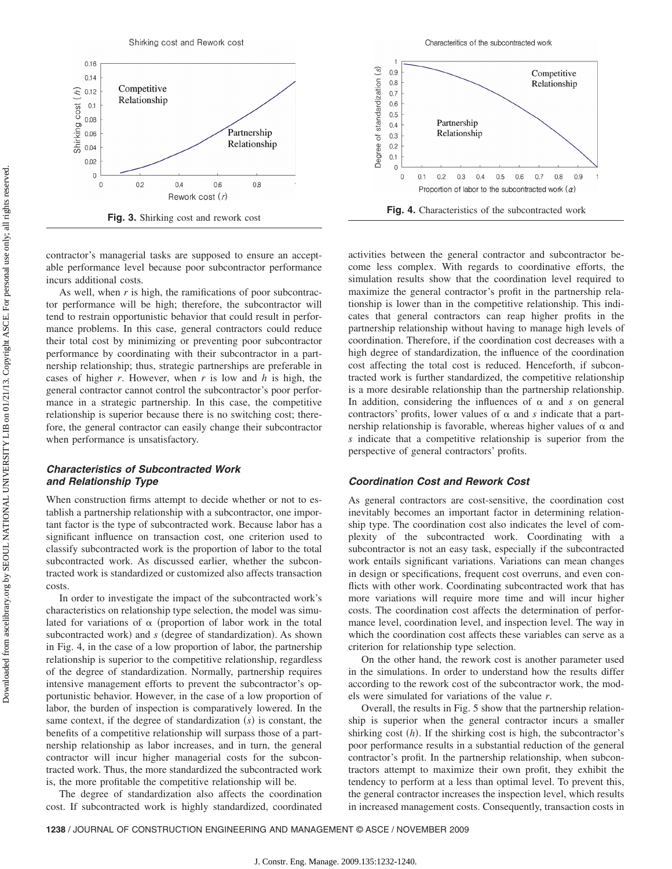

contractor's managerial tasks are supposed to ensure an acceptable performance level because poor subcontractor performance incurs additional costs.

As well, when *r* is high, the ramifications of poor subcontractor performance will be high; therefore, the subcontractor will tend to restrain opportunistic behavior that could result in performance problems. In this case, general contractors could reduce their total cost by minimizing or preventing poor subcontractor performance by coordinating with their subcontractor in a partnership relationship; thus, strategic partnerships are preferable in cases of higher *r*. However, when *r* is low and *h* is high, the general contractor cannot control the subcontractor's poor performance in a strategic partnership. In this case, the competitive relationship is superior because there is no switching cost; therefore, the general contractor can easily change their subcontractor when performance is unsatisfactory.

# *Characteristics of Subcontracted Work and Relationship Type*

When construction firms attempt to decide whether or not to establish a partnership relationship with a subcontractor, one important factor is the type of subcontracted work. Because labor has a significant influence on transaction cost, one criterion used to classify subcontracted work is the proportion of labor to the total subcontracted work. As discussed earlier, whether the subcontracted work is standardized or customized also affects transaction costs.

In order to investigate the impact of the subcontracted work's characteristics on relationship type selection, the model was simulated for variations of  $\alpha$  (proportion of labor work in the total subcontracted work) and *s* (degree of standardization). As shown in Fig. 4, in the case of a low proportion of labor, the partnership relationship is superior to the competitive relationship, regardless of the degree of standardization. Normally, partnership requires intensive management efforts to prevent the subcontractor's opportunistic behavior. However, in the case of a low proportion of labor, the burden of inspection is comparatively lowered. In the same context, if the degree of standardization  $(s)$  is constant, the benefits of a competitive relationship will surpass those of a partnership relationship as labor increases, and in turn, the general contractor will incur higher managerial costs for the subcontracted work. Thus, the more standardized the subcontracted work is, the more profitable the competitive relationship will be.

The degree of standardization also affects the coordination cost. If subcontracted work is highly standardized, coordinated

Characteritics of the subcontracted work



activities between the general contractor and subcontractor become less complex. With regards to coordinative efforts, the simulation results show that the coordination level required to maximize the general contractor's profit in the partnership relationship is lower than in the competitive relationship. This indicates that general contractors can reap higher profits in the partnership relationship without having to manage high levels of coordination. Therefore, if the coordination cost decreases with a high degree of standardization, the influence of the coordination cost affecting the total cost is reduced. Henceforth, if subcontracted work is further standardized, the competitive relationship is a more desirable relationship than the partnership relationship. In addition, considering the influences of  $\alpha$  and *s* on general contractors' profits, lower values of  $\alpha$  and *s* indicate that a partnership relationship is favorable, whereas higher values of  $\alpha$  and *s* indicate that a competitive relationship is superior from the perspective of general contractors' profits.

#### *Coordination Cost and Rework Cost*

As general contractors are cost-sensitive, the coordination cost inevitably becomes an important factor in determining relationship type. The coordination cost also indicates the level of complexity of the subcontracted work. Coordinating with a subcontractor is not an easy task, especially if the subcontracted work entails significant variations. Variations can mean changes in design or specifications, frequent cost overruns, and even conflicts with other work. Coordinating subcontracted work that has more variations will require more time and will incur higher costs. The coordination cost affects the determination of performance level, coordination level, and inspection level. The way in which the coordination cost affects these variables can serve as a criterion for relationship type selection.

On the other hand, the rework cost is another parameter used in the simulations. In order to understand how the results differ according to the rework cost of the subcontractor work, the models were simulated for variations of the value *r*.

Overall, the results in Fig. 5 show that the partnership relationship is superior when the general contractor incurs a smaller shirking cost (h). If the shirking cost is high, the subcontractor's poor performance results in a substantial reduction of the general contractor's profit. In the partnership relationship, when subcontractors attempt to maximize their own profit, they exhibit the tendency to perform at a less than optimal level. To prevent this, the general contractor increases the inspection level, which results in increased management costs. Consequently, transaction costs in

```
1238 / JOURNAL OF CONSTRUCTION ENGINEERING AND MANAGEMENT © ASCE / NOVEMBER 2009
```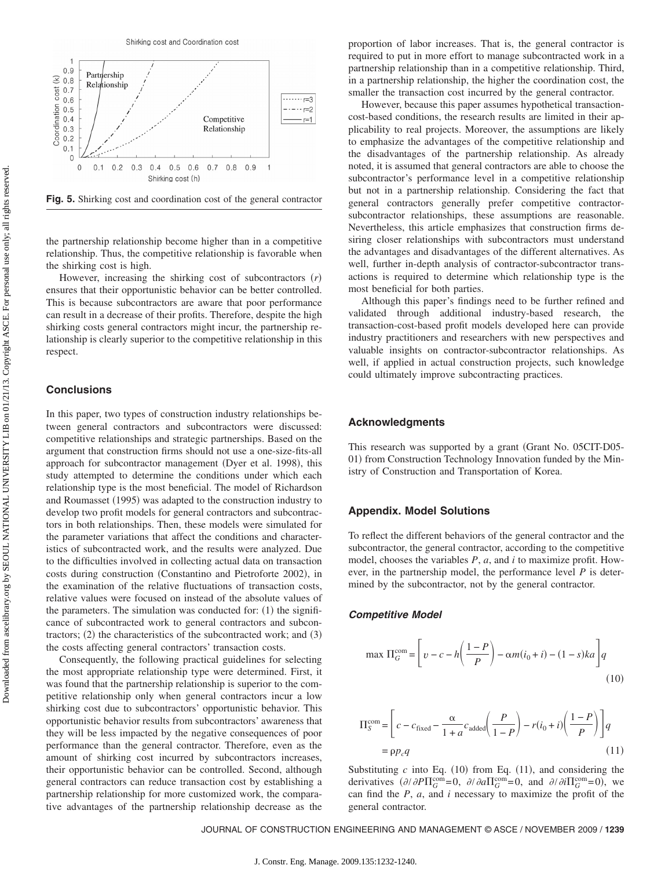

**Fig. 5.** Shirking cost and coordination cost of the general contractor

the partnership relationship become higher than in a competitive relationship. Thus, the competitive relationship is favorable when the shirking cost is high.

However, increasing the shirking cost of subcontractors  $(r)$ ensures that their opportunistic behavior can be better controlled. This is because subcontractors are aware that poor performance can result in a decrease of their profits. Therefore, despite the high shirking costs general contractors might incur, the partnership relationship is clearly superior to the competitive relationship in this respect.

# **Conclusions**

In this paper, two types of construction industry relationships between general contractors and subcontractors were discussed: competitive relationships and strategic partnerships. Based on the argument that construction firms should not use a one-size-fits-all approach for subcontractor management (Dyer et al. 1998), this study attempted to determine the conditions under which each relationship type is the most beneficial. The model of Richardson and Roumasset (1995) was adapted to the construction industry to develop two profit models for general contractors and subcontractors in both relationships. Then, these models were simulated for the parameter variations that affect the conditions and characteristics of subcontracted work, and the results were analyzed. Due to the difficulties involved in collecting actual data on transaction costs during construction (Constantino and Pietroforte 2002), in the examination of the relative fluctuations of transaction costs, relative values were focused on instead of the absolute values of the parameters. The simulation was conducted for:  $(1)$  the significance of subcontracted work to general contractors and subcontractors;  $(2)$  the characteristics of the subcontracted work; and  $(3)$ the costs affecting general contractors' transaction costs.

Consequently, the following practical guidelines for selecting the most appropriate relationship type were determined. First, it was found that the partnership relationship is superior to the competitive relationship only when general contractors incur a low shirking cost due to subcontractors' opportunistic behavior. This opportunistic behavior results from subcontractors' awareness that they will be less impacted by the negative consequences of poor performance than the general contractor. Therefore, even as the amount of shirking cost incurred by subcontractors increases, their opportunistic behavior can be controlled. Second, although general contractors can reduce transaction cost by establishing a partnership relationship for more customized work, the comparative advantages of the partnership relationship decrease as the proportion of labor increases. That is, the general contractor is required to put in more effort to manage subcontracted work in a partnership relationship than in a competitive relationship. Third, in a partnership relationship, the higher the coordination cost, the smaller the transaction cost incurred by the general contractor.

However, because this paper assumes hypothetical transactioncost-based conditions, the research results are limited in their applicability to real projects. Moreover, the assumptions are likely to emphasize the advantages of the competitive relationship and the disadvantages of the partnership relationship. As already noted, it is assumed that general contractors are able to choose the subcontractor's performance level in a competitive relationship but not in a partnership relationship. Considering the fact that general contractors generally prefer competitive contractorsubcontractor relationships, these assumptions are reasonable. Nevertheless, this article emphasizes that construction firms desiring closer relationships with subcontractors must understand the advantages and disadvantages of the different alternatives. As well, further in-depth analysis of contractor-subcontractor transactions is required to determine which relationship type is the most beneficial for both parties.

Although this paper's findings need to be further refined and validated through additional industry-based research, the transaction-cost-based profit models developed here can provide industry practitioners and researchers with new perspectives and valuable insights on contractor-subcontractor relationships. As well, if applied in actual construction projects, such knowledge could ultimately improve subcontracting practices.

# **Acknowledgments**

This research was supported by a grant Grant No. 05CIT-D05- 01) from Construction Technology Innovation funded by the Ministry of Construction and Transportation of Korea.

# **Appendix. Model Solutions**

To reflect the different behaviors of the general contractor and the subcontractor, the general contractor, according to the competitive model, chooses the variables *P*, *a*, and *i* to maximize profit. However, in the partnership model, the performance level *P* is determined by the subcontractor, not by the general contractor.

# *Competitive Model*

$$
\max \Pi_G^{\text{com}} = \left[ v - c - h \left( \frac{1 - P}{P} \right) - \alpha m (i_0 + i) - (1 - s)ka \right] q
$$
\n(10)

$$
\Pi_{S}^{\text{com}} = \left[ c - c_{\text{fixed}} - \frac{\alpha}{1 + a} c_{\text{added}} \left( \frac{P}{1 - P} \right) - r(i_0 + i) \left( \frac{1 - P}{P} \right) \right] q
$$
  
=  $\rho p_c q$  (11)

Substituting  $c$  into Eq.  $(10)$  from Eq.  $(11)$ , and considering the derivatives  $(\partial/\partial P\Pi_G^{\text{com}}=0, \ \partial/\partial a\Pi_G^{\text{com}}=0, \text{ and } \partial/\partial i\Pi_G^{\text{com}}=0)$ , we can find the *P*, *a*, and *i* necessary to maximize the profit of the general contractor.

JOURNAL OF CONSTRUCTION ENGINEERING AND MANAGEMENT © ASCE / NOVEMBER 2009 / **1239**